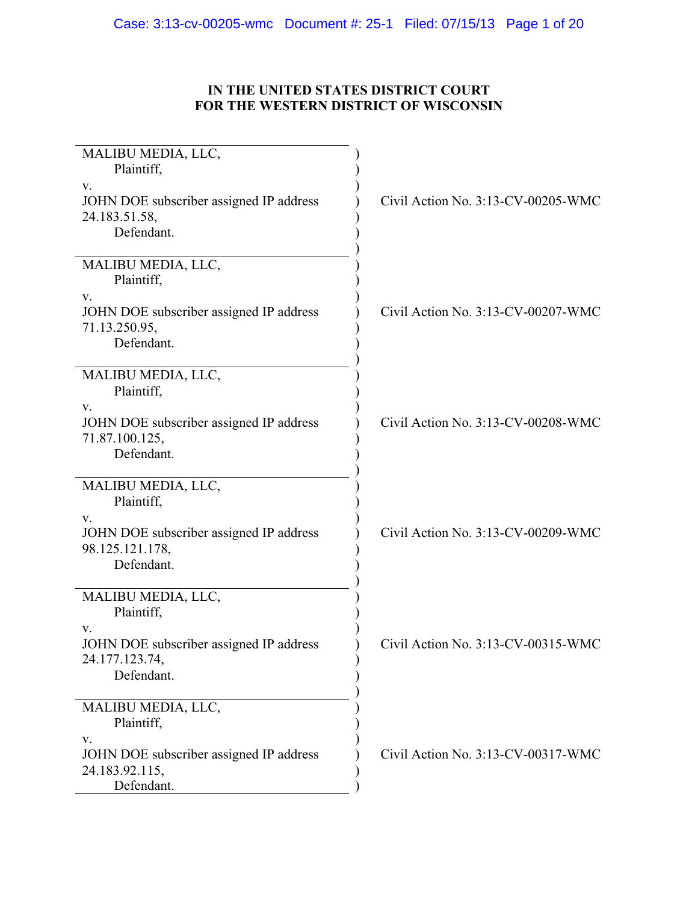## **IN THE UNITED STATES DISTRICT COURT FOR THE WESTERN DISTRICT OF WISCONSIN**

| MALIBU MEDIA, LLC,<br>Plaintiff,<br>V.<br>JOHN DOE subscriber assigned IP address<br>24.183.51.58,<br>Defendant.   | Civil Action No. 3:13-CV-00205-WMC |
|--------------------------------------------------------------------------------------------------------------------|------------------------------------|
| MALIBU MEDIA, LLC,<br>Plaintiff,<br>V.<br>JOHN DOE subscriber assigned IP address<br>71.13.250.95,<br>Defendant.   | Civil Action No. 3:13-CV-00207-WMC |
| MALIBU MEDIA, LLC,<br>Plaintiff,<br>V.<br>JOHN DOE subscriber assigned IP address<br>71.87.100.125,<br>Defendant.  | Civil Action No. 3:13-CV-00208-WMC |
| MALIBU MEDIA, LLC,<br>Plaintiff,<br>V.<br>JOHN DOE subscriber assigned IP address<br>98.125.121.178,<br>Defendant. | Civil Action No. 3:13-CV-00209-WMC |
| MALIBU MEDIA, LLC,<br>Plaintiff,<br>V.<br>JOHN DOE subscriber assigned IP address<br>24.177.123.74,<br>Defendant.  | Civil Action No. 3:13-CV-00315-WMC |
| MALIBU MEDIA, LLC,<br>Plaintiff,<br>V.<br>JOHN DOE subscriber assigned IP address<br>24.183.92.115,<br>Defendant.  | Civil Action No. 3:13-CV-00317-WMC |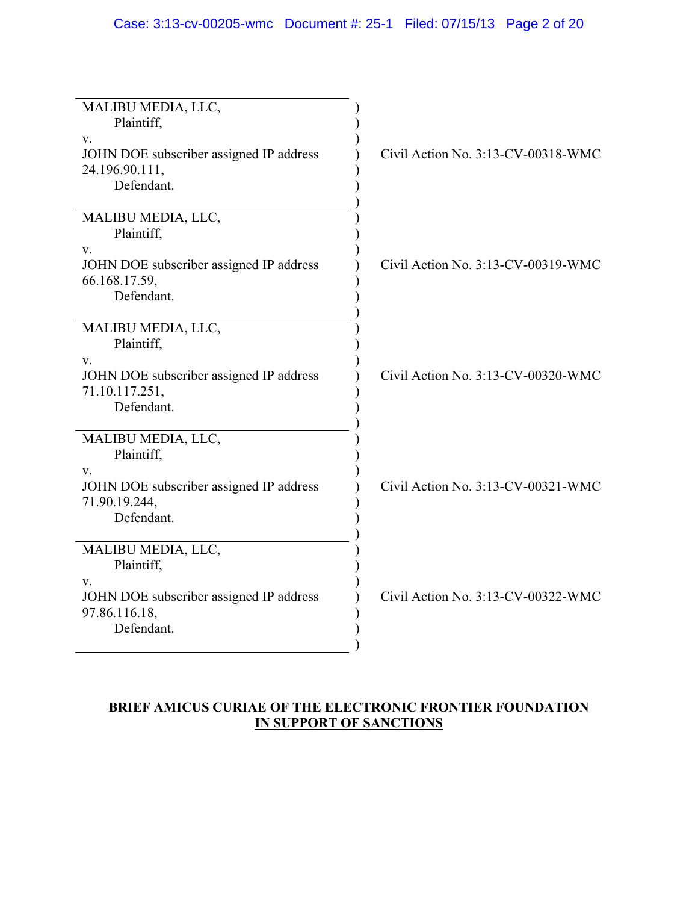| MALIBU MEDIA, LLC,<br>Plaintiff,                                              |                                    |
|-------------------------------------------------------------------------------|------------------------------------|
| V.<br>JOHN DOE subscriber assigned IP address<br>24.196.90.111,<br>Defendant. | Civil Action No. 3:13-CV-00318-WMC |
| MALIBU MEDIA, LLC,<br>Plaintiff,<br>$V_{r}$                                   |                                    |
| JOHN DOE subscriber assigned IP address<br>66.168.17.59,<br>Defendant.        | Civil Action No. 3:13-CV-00319-WMC |
| MALIBU MEDIA, LLC,<br>Plaintiff,<br>V.                                        |                                    |
| JOHN DOE subscriber assigned IP address<br>71.10.117.251,<br>Defendant.       | Civil Action No. 3:13-CV-00320-WMC |
| MALIBU MEDIA, LLC,<br>Plaintiff,<br>V.                                        |                                    |
| JOHN DOE subscriber assigned IP address<br>71.90.19.244,<br>Defendant.        | Civil Action No. 3:13-CV-00321-WMC |
| MALIBU MEDIA, LLC,<br>Plaintiff,<br>$V_{-}$                                   |                                    |
| JOHN DOE subscriber assigned IP address<br>97.86.116.18,<br>Defendant.        | Civil Action No. 3:13-CV-00322-WMC |
|                                                                               |                                    |

## **BRIEF AMICUS CURIAE OF THE ELECTRONIC FRONTIER FOUNDATION IN SUPPORT OF SANCTIONS**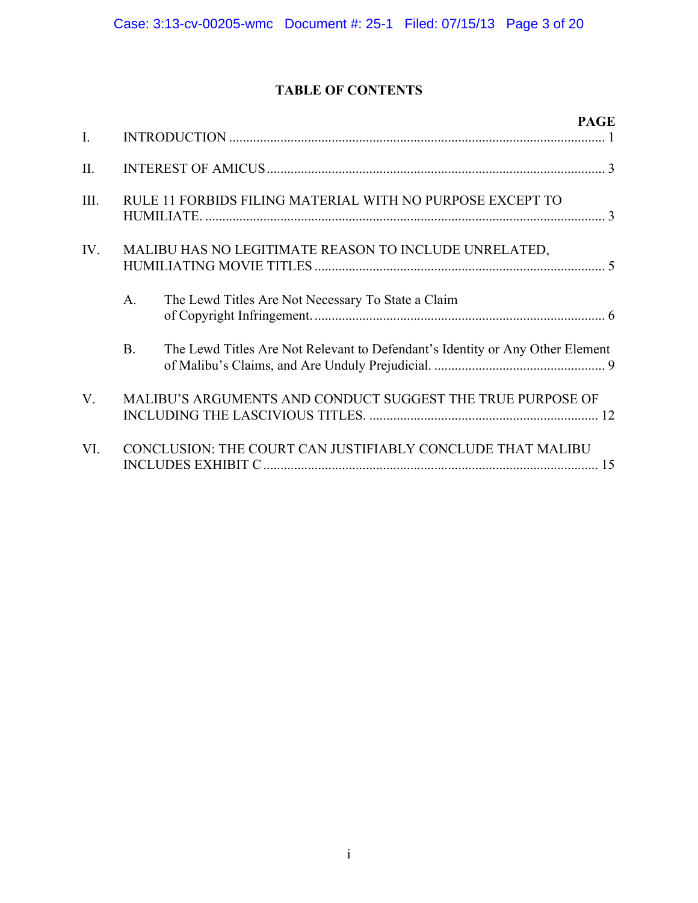# **TABLE OF CONTENTS**

| $\mathbf{I}$ . |                |                                                                               | <b>PAGE</b> |
|----------------|----------------|-------------------------------------------------------------------------------|-------------|
| II.            |                |                                                                               |             |
| III.           |                | RULE 11 FORBIDS FILING MATERIAL WITH NO PURPOSE EXCEPT TO                     |             |
| IV.            |                | MALIBU HAS NO LEGITIMATE REASON TO INCLUDE UNRELATED,                         |             |
|                | A <sub>1</sub> | The Lewd Titles Are Not Necessary To State a Claim                            |             |
|                | <b>B.</b>      | The Lewd Titles Are Not Relevant to Defendant's Identity or Any Other Element |             |
| $V_{\cdot}$    |                | MALIBU'S ARGUMENTS AND CONDUCT SUGGEST THE TRUE PURPOSE OF                    |             |
| VI.            |                | CONCLUSION: THE COURT CAN JUSTIFIABLY CONCLUDE THAT MALIBU                    |             |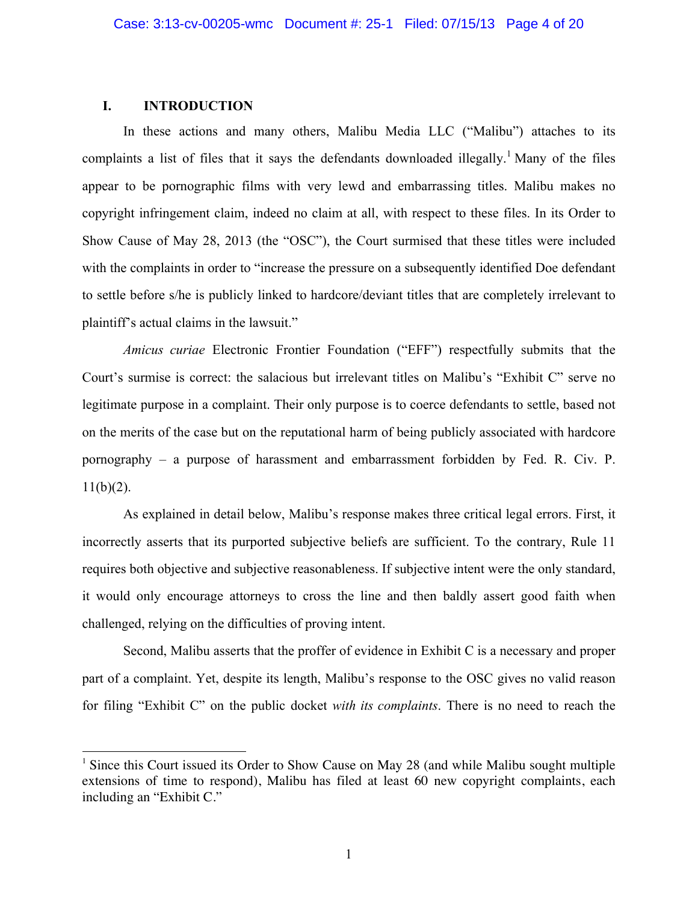### **I. INTRODUCTION**

 

In these actions and many others, Malibu Media LLC ("Malibu") attaches to its complaints a list of files that it says the defendants downloaded illegally.<sup>1</sup> Many of the files appear to be pornographic films with very lewd and embarrassing titles. Malibu makes no copyright infringement claim, indeed no claim at all, with respect to these files. In its Order to Show Cause of May 28, 2013 (the "OSC"), the Court surmised that these titles were included with the complaints in order to "increase the pressure on a subsequently identified Doe defendant to settle before s/he is publicly linked to hardcore/deviant titles that are completely irrelevant to plaintiff's actual claims in the lawsuit."

*Amicus curiae* Electronic Frontier Foundation ("EFF") respectfully submits that the Court's surmise is correct: the salacious but irrelevant titles on Malibu's "Exhibit C" serve no legitimate purpose in a complaint. Their only purpose is to coerce defendants to settle, based not on the merits of the case but on the reputational harm of being publicly associated with hardcore pornography – a purpose of harassment and embarrassment forbidden by Fed. R. Civ. P.  $11(b)(2)$ .

As explained in detail below, Malibu's response makes three critical legal errors. First, it incorrectly asserts that its purported subjective beliefs are sufficient. To the contrary, Rule 11 requires both objective and subjective reasonableness. If subjective intent were the only standard, it would only encourage attorneys to cross the line and then baldly assert good faith when challenged, relying on the difficulties of proving intent.

Second, Malibu asserts that the proffer of evidence in Exhibit C is a necessary and proper part of a complaint. Yet, despite its length, Malibu's response to the OSC gives no valid reason for filing "Exhibit C" on the public docket *with its complaints*. There is no need to reach the

<sup>&</sup>lt;sup>1</sup> Since this Court issued its Order to Show Cause on May 28 (and while Malibu sought multiple extensions of time to respond), Malibu has filed at least 60 new copyright complaints, each including an "Exhibit C."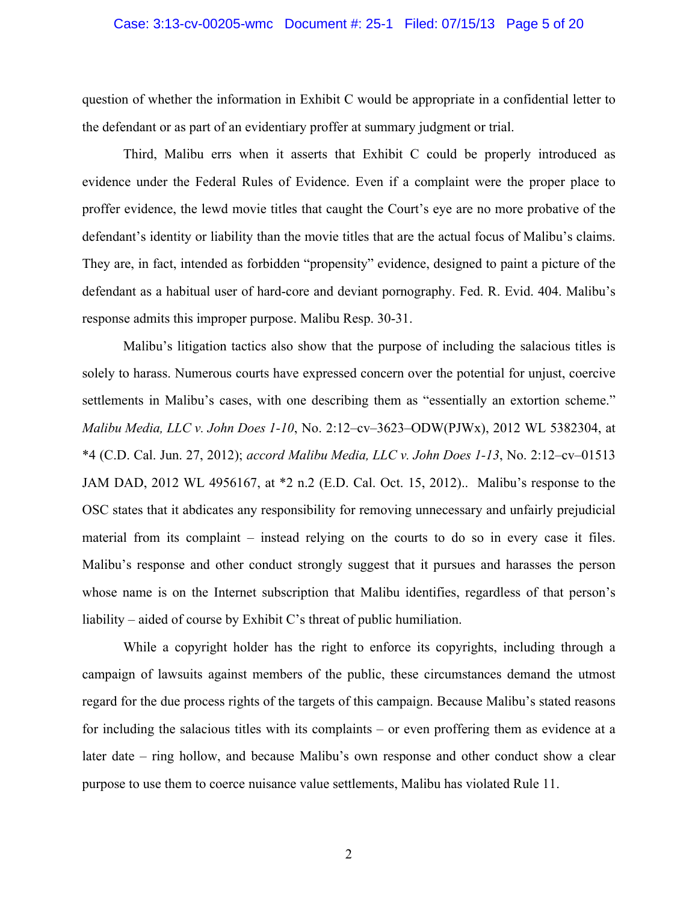#### Case: 3:13-cv-00205-wmc Document #: 25-1 Filed: 07/15/13 Page 5 of 20

question of whether the information in Exhibit C would be appropriate in a confidential letter to the defendant or as part of an evidentiary proffer at summary judgment or trial.

Third, Malibu errs when it asserts that Exhibit C could be properly introduced as evidence under the Federal Rules of Evidence. Even if a complaint were the proper place to proffer evidence, the lewd movie titles that caught the Court's eye are no more probative of the defendant's identity or liability than the movie titles that are the actual focus of Malibu's claims. They are, in fact, intended as forbidden "propensity" evidence, designed to paint a picture of the defendant as a habitual user of hard-core and deviant pornography. Fed. R. Evid. 404. Malibu's response admits this improper purpose. Malibu Resp. 30-31.

Malibu's litigation tactics also show that the purpose of including the salacious titles is solely to harass. Numerous courts have expressed concern over the potential for unjust, coercive settlements in Malibu's cases, with one describing them as "essentially an extortion scheme." *Malibu Media, LLC v. John Does 1-10*, No. 2:12–cv–3623–ODW(PJWx), 2012 WL 5382304, at \*4 (C.D. Cal. Jun. 27, 2012); *accord Malibu Media, LLC v. John Does 1-13*, No. 2:12–cv–01513 JAM DAD, 2012 WL 4956167, at \*2 n.2 (E.D. Cal. Oct. 15, 2012).. Malibu's response to the OSC states that it abdicates any responsibility for removing unnecessary and unfairly prejudicial material from its complaint – instead relying on the courts to do so in every case it files. Malibu's response and other conduct strongly suggest that it pursues and harasses the person whose name is on the Internet subscription that Malibu identifies, regardless of that person's liability – aided of course by Exhibit C's threat of public humiliation.

While a copyright holder has the right to enforce its copyrights, including through a campaign of lawsuits against members of the public, these circumstances demand the utmost regard for the due process rights of the targets of this campaign. Because Malibu's stated reasons for including the salacious titles with its complaints – or even proffering them as evidence at a later date – ring hollow, and because Malibu's own response and other conduct show a clear purpose to use them to coerce nuisance value settlements, Malibu has violated Rule 11.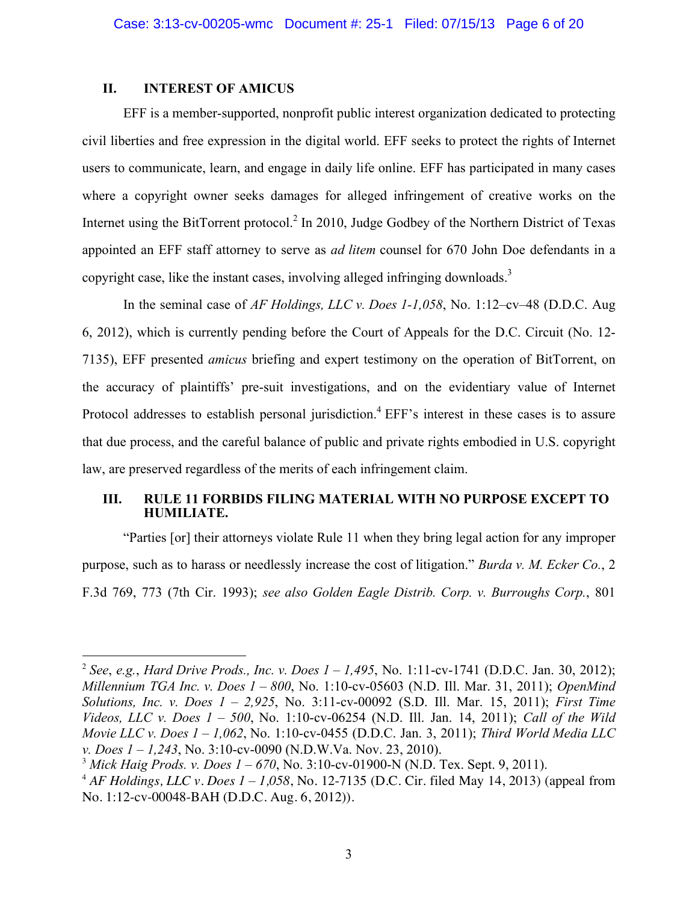### **II. INTEREST OF AMICUS**

 

EFF is a member-supported, nonprofit public interest organization dedicated to protecting civil liberties and free expression in the digital world. EFF seeks to protect the rights of Internet users to communicate, learn, and engage in daily life online. EFF has participated in many cases where a copyright owner seeks damages for alleged infringement of creative works on the Internet using the BitTorrent protocol.<sup>2</sup> In 2010, Judge Godbey of the Northern District of Texas appointed an EFF staff attorney to serve as *ad litem* counsel for 670 John Doe defendants in a copyright case, like the instant cases, involving alleged infringing downloads.<sup>3</sup>

In the seminal case of *AF Holdings, LLC v. Does 1-1,058*, No. 1:12–cv–48 (D.D.C. Aug 6, 2012), which is currently pending before the Court of Appeals for the D.C. Circuit (No. 12- 7135), EFF presented *amicus* briefing and expert testimony on the operation of BitTorrent, on the accuracy of plaintiffs' pre-suit investigations, and on the evidentiary value of Internet Protocol addresses to establish personal jurisdiction.<sup>4</sup> EFF's interest in these cases is to assure that due process, and the careful balance of public and private rights embodied in U.S. copyright law, are preserved regardless of the merits of each infringement claim.

### **III. RULE 11 FORBIDS FILING MATERIAL WITH NO PURPOSE EXCEPT TO HUMILIATE.**

"Parties [or] their attorneys violate Rule 11 when they bring legal action for any improper purpose, such as to harass or needlessly increase the cost of litigation." *Burda v. M. Ecker Co.*, 2 F.3d 769, 773 (7th Cir. 1993); *see also Golden Eagle Distrib. Corp. v. Burroughs Corp.*, 801

<sup>2</sup> *See*, *e.g.*, *Hard Drive Prods., Inc. v. Does 1 – 1,495*, No. 1:11-cv-1741 (D.D.C. Jan. 30, 2012); *Millennium TGA Inc. v. Does 1 – 800*, No. 1:10-cv-05603 (N.D. Ill. Mar. 31, 2011); *OpenMind Solutions, Inc. v. Does 1 – 2,925*, No. 3:11-cv-00092 (S.D. Ill. Mar. 15, 2011); *First Time Videos, LLC v. Does 1 – 500*, No. 1:10-cv-06254 (N.D. Ill. Jan. 14, 2011); *Call of the Wild Movie LLC v. Does 1 – 1,062*, No. 1:10-cv-0455 (D.D.C. Jan. 3, 2011); *Third World Media LLC v. Does 1 – 1,243*, No. 3:10-cv-0090 (N.D.W.Va. Nov. 23, 2010).

<sup>3</sup> *Mick Haig Prods. v. Does 1 – 670*, No. 3:10-cv-01900-N (N.D. Tex. Sept. 9, 2011).

<sup>4</sup> *AF Holdings, LLC v. Does 1 – 1,058*, No. 12-7135 (D.C. Cir. filed May 14, 2013) (appeal from No. 1:12-cv-00048-BAH (D.D.C. Aug. 6, 2012)).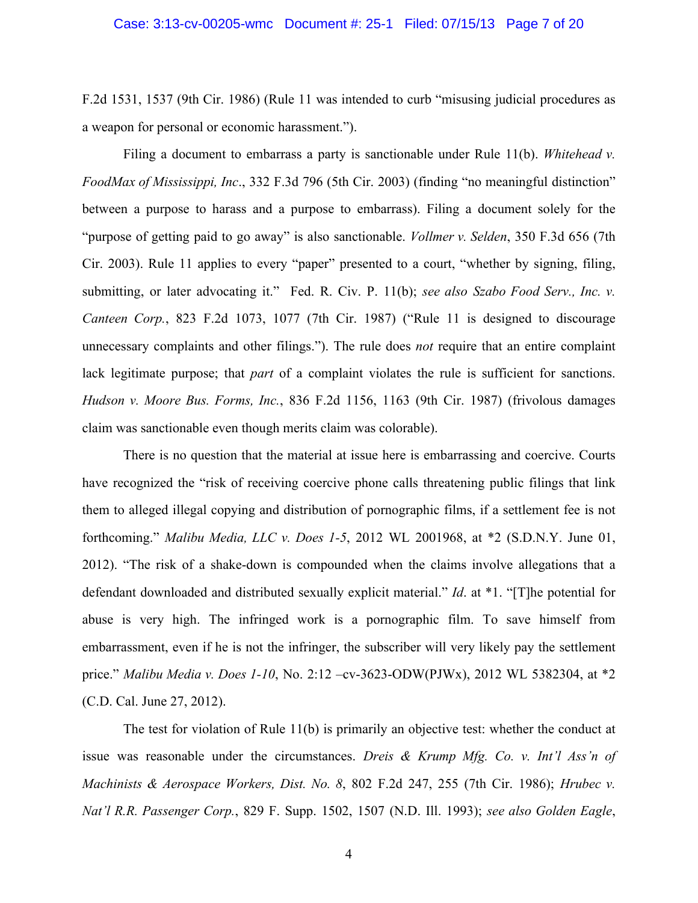F.2d 1531, 1537 (9th Cir. 1986) (Rule 11 was intended to curb "misusing judicial procedures as a weapon for personal or economic harassment.").

Filing a document to embarrass a party is sanctionable under Rule 11(b). *Whitehead v. FoodMax of Mississippi, Inc*., 332 F.3d 796 (5th Cir. 2003) (finding "no meaningful distinction" between a purpose to harass and a purpose to embarrass). Filing a document solely for the "purpose of getting paid to go away" is also sanctionable. *Vollmer v. Selden*, 350 F.3d 656 (7th Cir. 2003). Rule 11 applies to every "paper" presented to a court, "whether by signing, filing, submitting, or later advocating it." Fed. R. Civ. P. 11(b); *see also Szabo Food Serv., Inc. v. Canteen Corp.*, 823 F.2d 1073, 1077 (7th Cir. 1987) ("Rule 11 is designed to discourage unnecessary complaints and other filings."). The rule does *not* require that an entire complaint lack legitimate purpose; that *part* of a complaint violates the rule is sufficient for sanctions. *Hudson v. Moore Bus. Forms, Inc.*, 836 F.2d 1156, 1163 (9th Cir. 1987) (frivolous damages claim was sanctionable even though merits claim was colorable).

There is no question that the material at issue here is embarrassing and coercive. Courts have recognized the "risk of receiving coercive phone calls threatening public filings that link them to alleged illegal copying and distribution of pornographic films, if a settlement fee is not forthcoming." *Malibu Media, LLC v. Does 1-5*, 2012 WL 2001968, at \*2 (S.D.N.Y. June 01, 2012). "The risk of a shake-down is compounded when the claims involve allegations that a defendant downloaded and distributed sexually explicit material." *Id*. at \*1. "[T]he potential for abuse is very high. The infringed work is a pornographic film. To save himself from embarrassment, even if he is not the infringer, the subscriber will very likely pay the settlement price." *Malibu Media v. Does 1-10*, No. 2:12 –cv-3623-ODW(PJWx), 2012 WL 5382304, at \*2 (C.D. Cal. June 27, 2012).

The test for violation of Rule 11(b) is primarily an objective test: whether the conduct at issue was reasonable under the circumstances. *Dreis & Krump Mfg. Co. v. Int'l Ass'n of Machinists & Aerospace Workers, Dist. No. 8*, 802 F.2d 247, 255 (7th Cir. 1986); *Hrubec v. Nat'l R.R. Passenger Corp.*, 829 F. Supp. 1502, 1507 (N.D. Ill. 1993); *see also Golden Eagle*,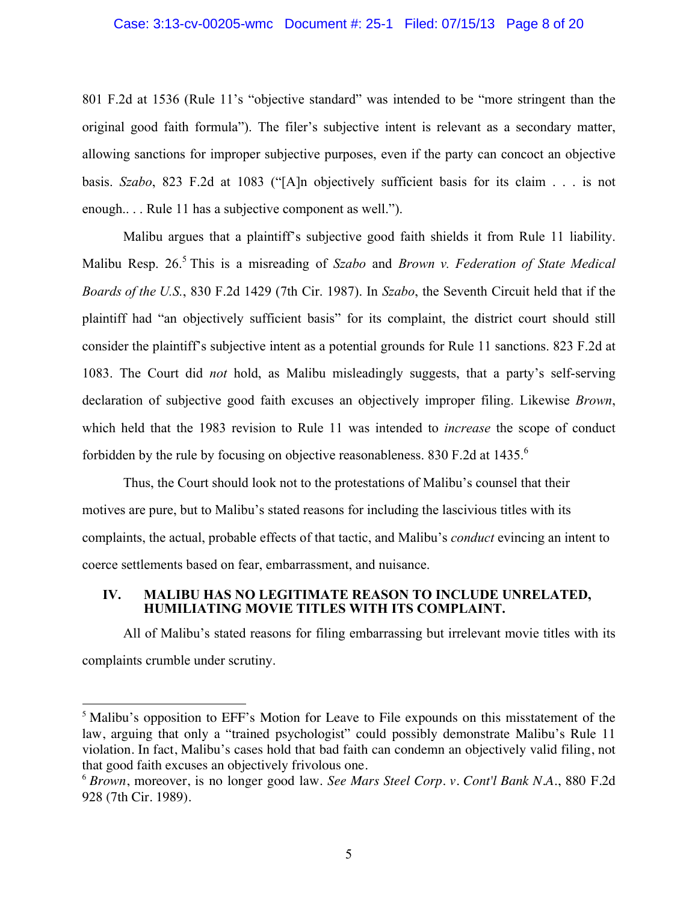### Case: 3:13-cv-00205-wmc Document #: 25-1 Filed: 07/15/13 Page 8 of 20

801 F.2d at 1536 (Rule 11's "objective standard" was intended to be "more stringent than the original good faith formula"). The filer's subjective intent is relevant as a secondary matter, allowing sanctions for improper subjective purposes, even if the party can concoct an objective basis. *Szabo*, 823 F.2d at 1083 ("[A]n objectively sufficient basis for its claim . . . is not enough.. . . Rule 11 has a subjective component as well.").

Malibu argues that a plaintiff's subjective good faith shields it from Rule 11 liability. Malibu Resp. 26.<sup>5</sup> This is a misreading of *Szabo* and *Brown v. Federation of State Medical Boards of the U.S.*, 830 F.2d 1429 (7th Cir. 1987). In *Szabo*, the Seventh Circuit held that if the plaintiff had "an objectively sufficient basis" for its complaint, the district court should still consider the plaintiff's subjective intent as a potential grounds for Rule 11 sanctions. 823 F.2d at 1083. The Court did *not* hold, as Malibu misleadingly suggests, that a party's self-serving declaration of subjective good faith excuses an objectively improper filing. Likewise *Brown*, which held that the 1983 revision to Rule 11 was intended to *increase* the scope of conduct forbidden by the rule by focusing on objective reasonableness. 830 F.2d at 1435.<sup>6</sup>

Thus, the Court should look not to the protestations of Malibu's counsel that their motives are pure, but to Malibu's stated reasons for including the lascivious titles with its complaints, the actual, probable effects of that tactic, and Malibu's *conduct* evincing an intent to coerce settlements based on fear, embarrassment, and nuisance.

### **IV. MALIBU HAS NO LEGITIMATE REASON TO INCLUDE UNRELATED, HUMILIATING MOVIE TITLES WITH ITS COMPLAINT.**

All of Malibu's stated reasons for filing embarrassing but irrelevant movie titles with its complaints crumble under scrutiny.

<sup>&</sup>lt;sup>5</sup> Malibu's opposition to EFF's Motion for Leave to File expounds on this misstatement of the law, arguing that only a "trained psychologist" could possibly demonstrate Malibu's Rule 11 violation. In fact, Malibu's cases hold that bad faith can condemn an objectively valid filing, not that good faith excuses an objectively frivolous one.

<sup>6</sup> *Brown*, moreover, is no longer good law. *See Mars Steel Corp. v. Cont'l Bank N.A.*, 880 F.2d 928 (7th Cir. 1989).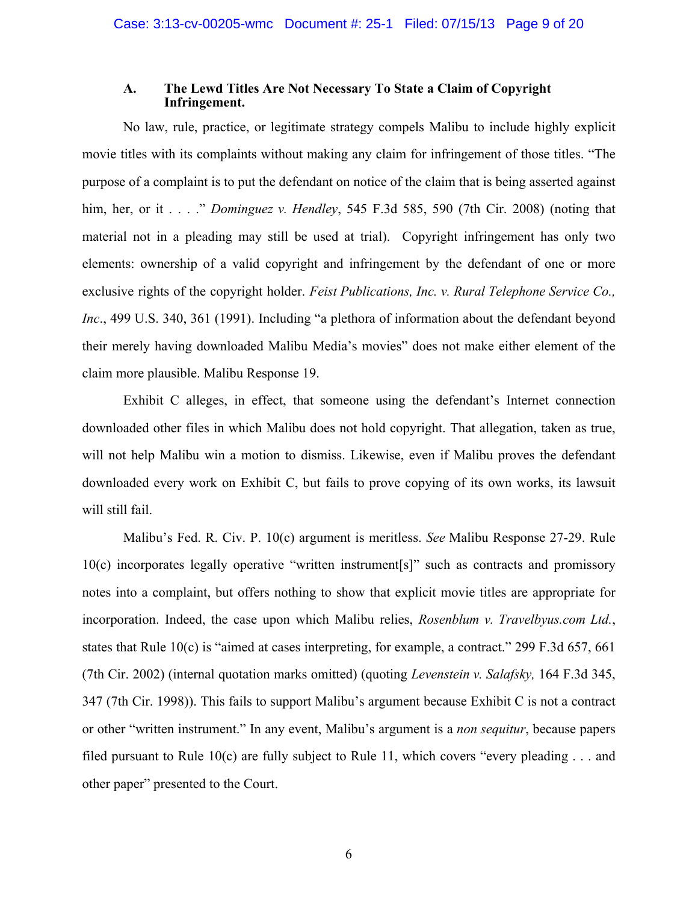### **A. The Lewd Titles Are Not Necessary To State a Claim of Copyright Infringement.**

No law, rule, practice, or legitimate strategy compels Malibu to include highly explicit movie titles with its complaints without making any claim for infringement of those titles. "The purpose of a complaint is to put the defendant on notice of the claim that is being asserted against him, her, or it . . . ." *Dominguez v. Hendley*, 545 F.3d 585, 590 (7th Cir. 2008) (noting that material not in a pleading may still be used at trial). Copyright infringement has only two elements: ownership of a valid copyright and infringement by the defendant of one or more exclusive rights of the copyright holder. *Feist Publications, Inc. v. Rural Telephone Service Co., Inc*., 499 U.S. 340, 361 (1991). Including "a plethora of information about the defendant beyond their merely having downloaded Malibu Media's movies" does not make either element of the claim more plausible. Malibu Response 19.

Exhibit C alleges, in effect, that someone using the defendant's Internet connection downloaded other files in which Malibu does not hold copyright. That allegation, taken as true, will not help Malibu win a motion to dismiss. Likewise, even if Malibu proves the defendant downloaded every work on Exhibit C, but fails to prove copying of its own works, its lawsuit will still fail.

Malibu's Fed. R. Civ. P. 10(c) argument is meritless. *See* Malibu Response 27-29. Rule 10(c) incorporates legally operative "written instrument[s]" such as contracts and promissory notes into a complaint, but offers nothing to show that explicit movie titles are appropriate for incorporation. Indeed, the case upon which Malibu relies, *Rosenblum v. Travelbyus.com Ltd.*, states that Rule 10(c) is "aimed at cases interpreting, for example, a contract." 299 F.3d 657, 661 (7th Cir. 2002) (internal quotation marks omitted) (quoting *Levenstein v. Salafsky,* 164 F.3d 345, 347 (7th Cir. 1998)). This fails to support Malibu's argument because Exhibit C is not a contract or other "written instrument." In any event, Malibu's argument is a *non sequitur*, because papers filed pursuant to Rule 10(c) are fully subject to Rule 11, which covers "every pleading . . . and other paper" presented to the Court.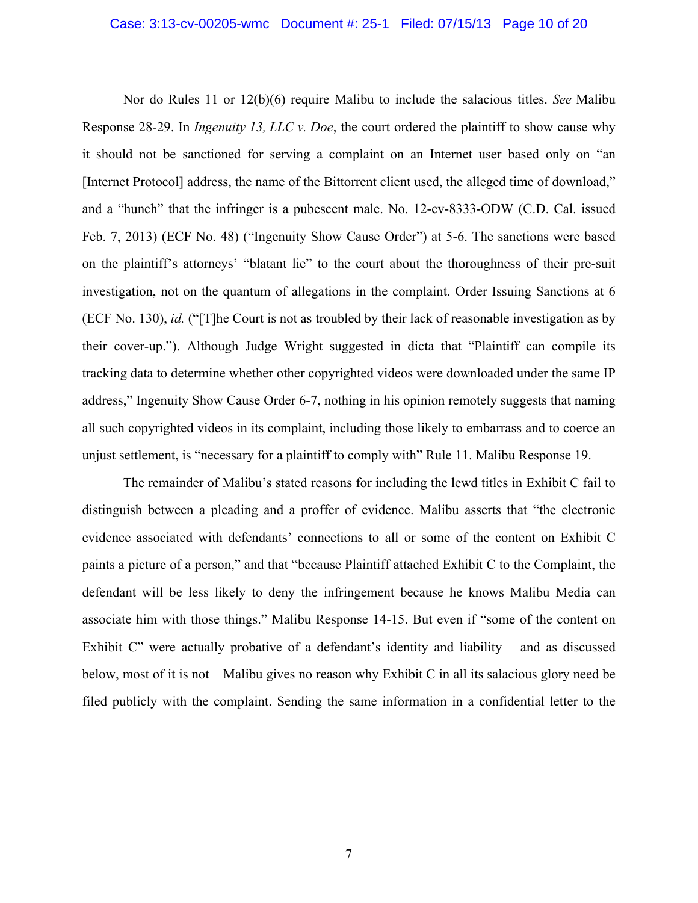#### Case: 3:13-cv-00205-wmc Document #: 25-1 Filed: 07/15/13 Page 10 of 20

Nor do Rules 11 or 12(b)(6) require Malibu to include the salacious titles. *See* Malibu Response 28-29. In *Ingenuity 13, LLC v. Doe*, the court ordered the plaintiff to show cause why it should not be sanctioned for serving a complaint on an Internet user based only on "an [Internet Protocol] address, the name of the Bittorrent client used, the alleged time of download," and a "hunch" that the infringer is a pubescent male. No. 12-cv-8333-ODW (C.D. Cal. issued Feb. 7, 2013) (ECF No. 48) ("Ingenuity Show Cause Order") at 5-6. The sanctions were based on the plaintiff's attorneys' "blatant lie" to the court about the thoroughness of their pre-suit investigation, not on the quantum of allegations in the complaint. Order Issuing Sanctions at 6 (ECF No. 130), *id.* ("[T]he Court is not as troubled by their lack of reasonable investigation as by their cover-up."). Although Judge Wright suggested in dicta that "Plaintiff can compile its tracking data to determine whether other copyrighted videos were downloaded under the same IP address," Ingenuity Show Cause Order 6-7, nothing in his opinion remotely suggests that naming all such copyrighted videos in its complaint, including those likely to embarrass and to coerce an unjust settlement, is "necessary for a plaintiff to comply with" Rule 11. Malibu Response 19.

The remainder of Malibu's stated reasons for including the lewd titles in Exhibit C fail to distinguish between a pleading and a proffer of evidence. Malibu asserts that "the electronic evidence associated with defendants' connections to all or some of the content on Exhibit C paints a picture of a person," and that "because Plaintiff attached Exhibit C to the Complaint, the defendant will be less likely to deny the infringement because he knows Malibu Media can associate him with those things." Malibu Response 14-15. But even if "some of the content on Exhibit C" were actually probative of a defendant's identity and liability – and as discussed below, most of it is not – Malibu gives no reason why Exhibit C in all its salacious glory need be filed publicly with the complaint. Sending the same information in a confidential letter to the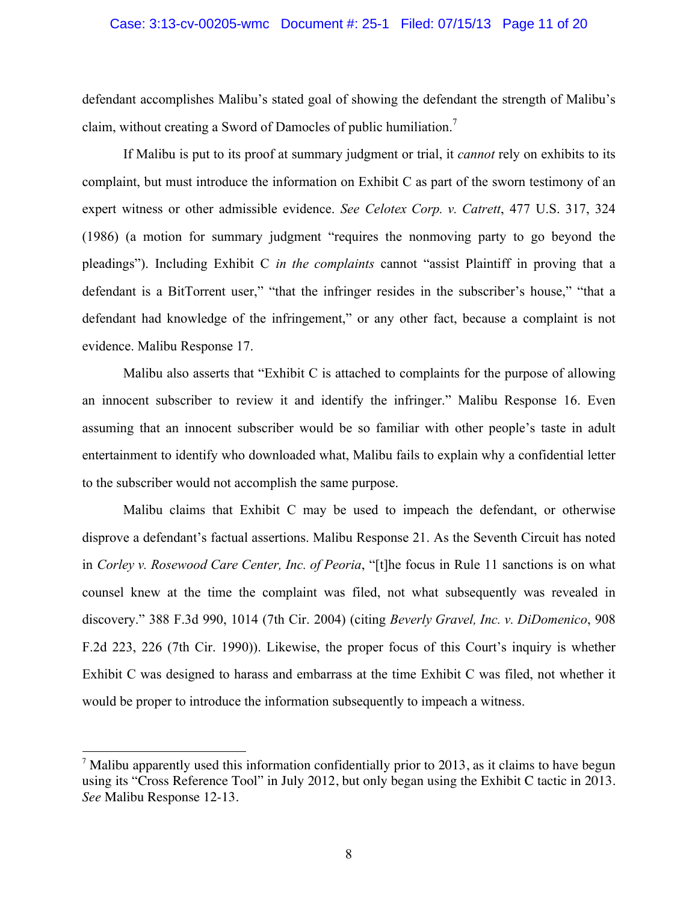### Case: 3:13-cv-00205-wmc Document #: 25-1 Filed: 07/15/13 Page 11 of 20

defendant accomplishes Malibu's stated goal of showing the defendant the strength of Malibu's claim, without creating a Sword of Damocles of public humiliation.<sup>7</sup>

If Malibu is put to its proof at summary judgment or trial, it *cannot* rely on exhibits to its complaint, but must introduce the information on Exhibit C as part of the sworn testimony of an expert witness or other admissible evidence. *See Celotex Corp. v. Catrett*, 477 U.S. 317, 324 (1986) (a motion for summary judgment "requires the nonmoving party to go beyond the pleadings"). Including Exhibit C *in the complaints* cannot "assist Plaintiff in proving that a defendant is a BitTorrent user," "that the infringer resides in the subscriber's house," "that a defendant had knowledge of the infringement," or any other fact, because a complaint is not evidence. Malibu Response 17.

Malibu also asserts that "Exhibit C is attached to complaints for the purpose of allowing an innocent subscriber to review it and identify the infringer." Malibu Response 16. Even assuming that an innocent subscriber would be so familiar with other people's taste in adult entertainment to identify who downloaded what, Malibu fails to explain why a confidential letter to the subscriber would not accomplish the same purpose.

Malibu claims that Exhibit C may be used to impeach the defendant, or otherwise disprove a defendant's factual assertions. Malibu Response 21. As the Seventh Circuit has noted in *Corley v. Rosewood Care Center, Inc. of Peoria*, "[t]he focus in Rule 11 sanctions is on what counsel knew at the time the complaint was filed, not what subsequently was revealed in discovery." 388 F.3d 990, 1014 (7th Cir. 2004) (citing *Beverly Gravel, Inc. v. DiDomenico*, 908 F.2d 223, 226 (7th Cir. 1990)). Likewise, the proper focus of this Court's inquiry is whether Exhibit C was designed to harass and embarrass at the time Exhibit C was filed, not whether it would be proper to introduce the information subsequently to impeach a witness.

 $<sup>7</sup>$  Malibu apparently used this information confidentially prior to 2013, as it claims to have begun</sup> using its "Cross Reference Tool" in July 2012, but only began using the Exhibit C tactic in 2013. *See* Malibu Response 12-13.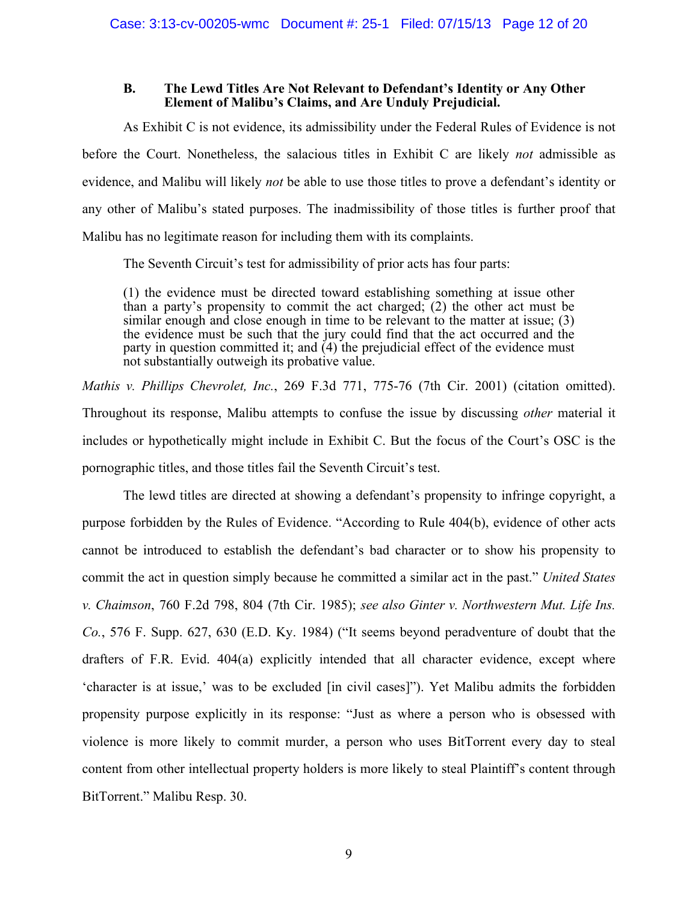### **B. The Lewd Titles Are Not Relevant to Defendant's Identity or Any Other Element of Malibu's Claims, and Are Unduly Prejudicial.**

As Exhibit C is not evidence, its admissibility under the Federal Rules of Evidence is not before the Court. Nonetheless, the salacious titles in Exhibit C are likely *not* admissible as evidence, and Malibu will likely *not* be able to use those titles to prove a defendant's identity or any other of Malibu's stated purposes. The inadmissibility of those titles is further proof that Malibu has no legitimate reason for including them with its complaints.

The Seventh Circuit's test for admissibility of prior acts has four parts:

(1) the evidence must be directed toward establishing something at issue other than a party's propensity to commit the act charged; (2) the other act must be similar enough and close enough in time to be relevant to the matter at issue; (3) the evidence must be such that the jury could find that the act occurred and the party in question committed it; and  $(4)$  the prejudicial effect of the evidence must not substantially outweigh its probative value.

*Mathis v. Phillips Chevrolet, Inc.*, 269 F.3d 771, 775-76 (7th Cir. 2001) (citation omitted). Throughout its response, Malibu attempts to confuse the issue by discussing *other* material it includes or hypothetically might include in Exhibit C. But the focus of the Court's OSC is the pornographic titles, and those titles fail the Seventh Circuit's test.

The lewd titles are directed at showing a defendant's propensity to infringe copyright, a purpose forbidden by the Rules of Evidence. "According to Rule 404(b), evidence of other acts cannot be introduced to establish the defendant's bad character or to show his propensity to commit the act in question simply because he committed a similar act in the past." *United States v. Chaimson*, 760 F.2d 798, 804 (7th Cir. 1985); *see also Ginter v. Northwestern Mut. Life Ins. Co.*, 576 F. Supp. 627, 630 (E.D. Ky. 1984) ("It seems beyond peradventure of doubt that the drafters of F.R. Evid. 404(a) explicitly intended that all character evidence, except where 'character is at issue,' was to be excluded [in civil cases]"). Yet Malibu admits the forbidden propensity purpose explicitly in its response: "Just as where a person who is obsessed with violence is more likely to commit murder, a person who uses BitTorrent every day to steal content from other intellectual property holders is more likely to steal Plaintiff's content through BitTorrent." Malibu Resp. 30.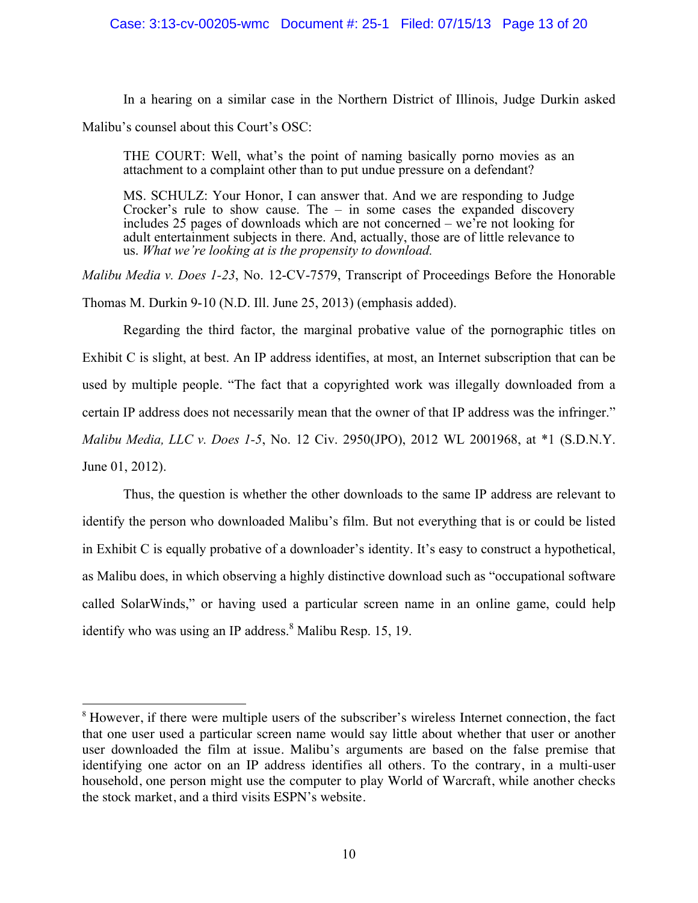### Case: 3:13-cv-00205-wmc Document #: 25-1 Filed: 07/15/13 Page 13 of 20

In a hearing on a similar case in the Northern District of Illinois, Judge Durkin asked Malibu's counsel about this Court's OSC:

THE COURT: Well, what's the point of naming basically porno movies as an attachment to a complaint other than to put undue pressure on a defendant?

MS. SCHULZ: Your Honor, I can answer that. And we are responding to Judge Crocker's rule to show cause. The – in some cases the expanded discovery includes 25 pages of downloads which are not concerned – we're not looking for adult entertainment subjects in there. And, actually, those are of little relevance to us. *What we're looking at is the propensity to download.*

*Malibu Media v. Does 1-23*, No. 12-CV-7579, Transcript of Proceedings Before the Honorable Thomas M. Durkin 9-10 (N.D. Ill. June 25, 2013) (emphasis added).

Regarding the third factor, the marginal probative value of the pornographic titles on Exhibit C is slight, at best. An IP address identifies, at most, an Internet subscription that can be used by multiple people. "The fact that a copyrighted work was illegally downloaded from a certain IP address does not necessarily mean that the owner of that IP address was the infringer." *Malibu Media, LLC v. Does 1-5*, No. 12 Civ. 2950(JPO), 2012 WL 2001968, at \*1 (S.D.N.Y. June 01, 2012).

Thus, the question is whether the other downloads to the same IP address are relevant to identify the person who downloaded Malibu's film. But not everything that is or could be listed in Exhibit C is equally probative of a downloader's identity. It's easy to construct a hypothetical, as Malibu does, in which observing a highly distinctive download such as "occupational software called SolarWinds," or having used a particular screen name in an online game, could help identify who was using an IP address.<sup>8</sup> Malibu Resp. 15, 19.

<sup>&</sup>lt;sup>8</sup> However, if there were multiple users of the subscriber's wireless Internet connection, the fact that one user used a particular screen name would say little about whether that user or another user downloaded the film at issue. Malibu's arguments are based on the false premise that identifying one actor on an IP address identifies all others. To the contrary, in a multi-user household, one person might use the computer to play World of Warcraft, while another checks the stock market, and a third visits ESPN's website.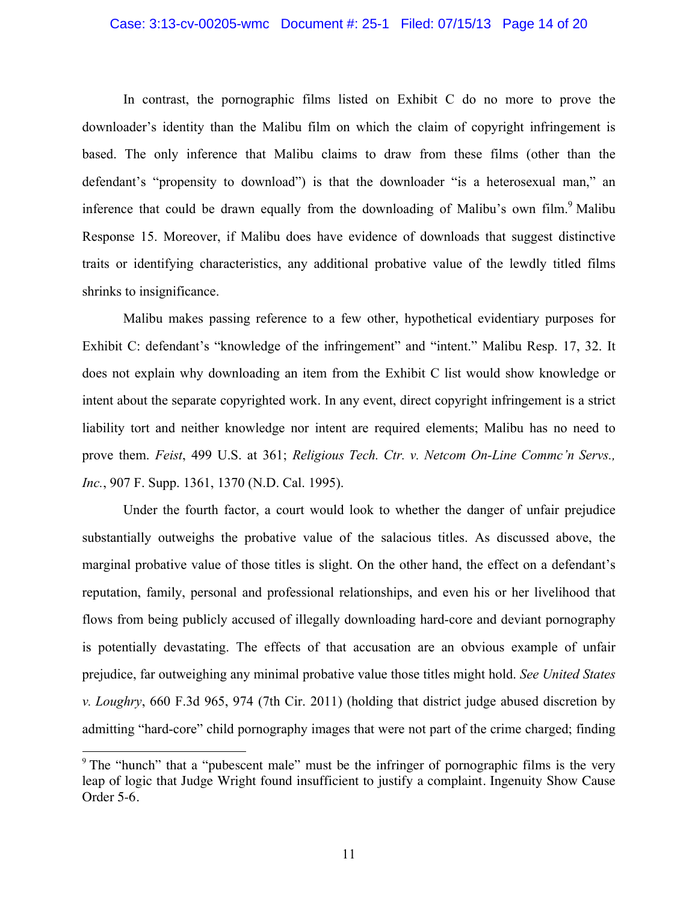### Case: 3:13-cv-00205-wmc Document #: 25-1 Filed: 07/15/13 Page 14 of 20

In contrast, the pornographic films listed on Exhibit C do no more to prove the downloader's identity than the Malibu film on which the claim of copyright infringement is based. The only inference that Malibu claims to draw from these films (other than the defendant's "propensity to download") is that the downloader "is a heterosexual man," an inference that could be drawn equally from the downloading of Malibu's own film.<sup>9</sup> Malibu Response 15. Moreover, if Malibu does have evidence of downloads that suggest distinctive traits or identifying characteristics, any additional probative value of the lewdly titled films shrinks to insignificance.

Malibu makes passing reference to a few other, hypothetical evidentiary purposes for Exhibit C: defendant's "knowledge of the infringement" and "intent." Malibu Resp. 17, 32. It does not explain why downloading an item from the Exhibit C list would show knowledge or intent about the separate copyrighted work. In any event, direct copyright infringement is a strict liability tort and neither knowledge nor intent are required elements; Malibu has no need to prove them. *Feist*, 499 U.S. at 361; *Religious Tech. Ctr. v. Netcom On-Line Commc'n Servs., Inc.*, 907 F. Supp. 1361, 1370 (N.D. Cal. 1995).

Under the fourth factor, a court would look to whether the danger of unfair prejudice substantially outweighs the probative value of the salacious titles. As discussed above, the marginal probative value of those titles is slight. On the other hand, the effect on a defendant's reputation, family, personal and professional relationships, and even his or her livelihood that flows from being publicly accused of illegally downloading hard-core and deviant pornography is potentially devastating. The effects of that accusation are an obvious example of unfair prejudice, far outweighing any minimal probative value those titles might hold. *See United States v. Loughry*, 660 F.3d 965, 974 (7th Cir. 2011) (holding that district judge abused discretion by admitting "hard-core" child pornography images that were not part of the crime charged; finding

<sup>&</sup>lt;sup>9</sup> The "hunch" that a "pubescent male" must be the infringer of pornographic films is the very leap of logic that Judge Wright found insufficient to justify a complaint. Ingenuity Show Cause Order 5-6.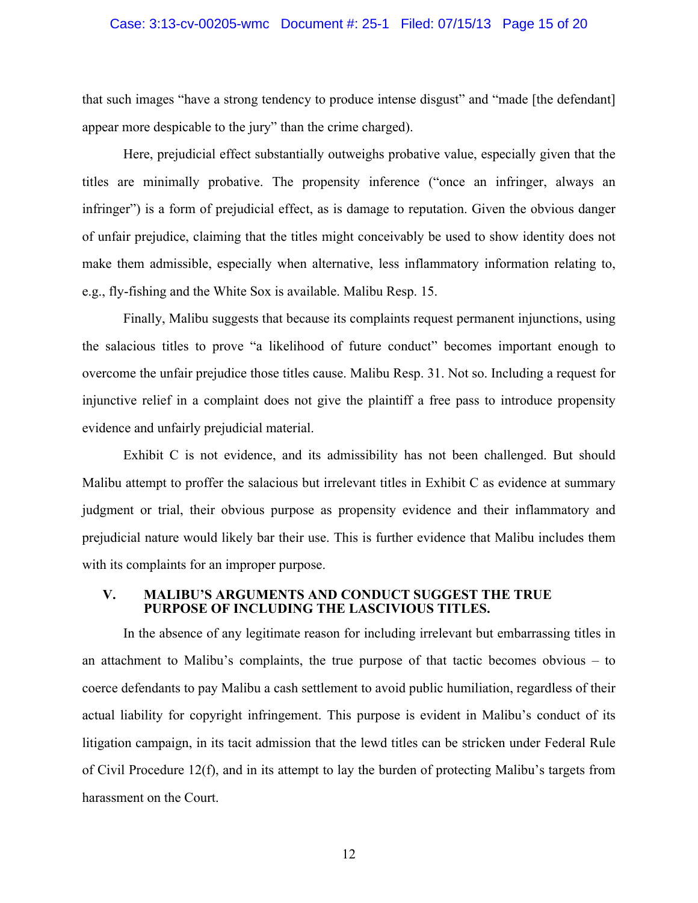### Case: 3:13-cv-00205-wmc Document #: 25-1 Filed: 07/15/13 Page 15 of 20

that such images "have a strong tendency to produce intense disgust" and "made [the defendant] appear more despicable to the jury" than the crime charged).

Here, prejudicial effect substantially outweighs probative value, especially given that the titles are minimally probative. The propensity inference ("once an infringer, always an infringer") is a form of prejudicial effect, as is damage to reputation. Given the obvious danger of unfair prejudice, claiming that the titles might conceivably be used to show identity does not make them admissible, especially when alternative, less inflammatory information relating to, e.g., fly-fishing and the White Sox is available. Malibu Resp. 15.

Finally, Malibu suggests that because its complaints request permanent injunctions, using the salacious titles to prove "a likelihood of future conduct" becomes important enough to overcome the unfair prejudice those titles cause. Malibu Resp. 31. Not so. Including a request for injunctive relief in a complaint does not give the plaintiff a free pass to introduce propensity evidence and unfairly prejudicial material.

Exhibit C is not evidence, and its admissibility has not been challenged. But should Malibu attempt to proffer the salacious but irrelevant titles in Exhibit C as evidence at summary judgment or trial, their obvious purpose as propensity evidence and their inflammatory and prejudicial nature would likely bar their use. This is further evidence that Malibu includes them with its complaints for an improper purpose.

### **V. MALIBU'S ARGUMENTS AND CONDUCT SUGGEST THE TRUE PURPOSE OF INCLUDING THE LASCIVIOUS TITLES.**

In the absence of any legitimate reason for including irrelevant but embarrassing titles in an attachment to Malibu's complaints, the true purpose of that tactic becomes obvious – to coerce defendants to pay Malibu a cash settlement to avoid public humiliation, regardless of their actual liability for copyright infringement. This purpose is evident in Malibu's conduct of its litigation campaign, in its tacit admission that the lewd titles can be stricken under Federal Rule of Civil Procedure 12(f), and in its attempt to lay the burden of protecting Malibu's targets from harassment on the Court.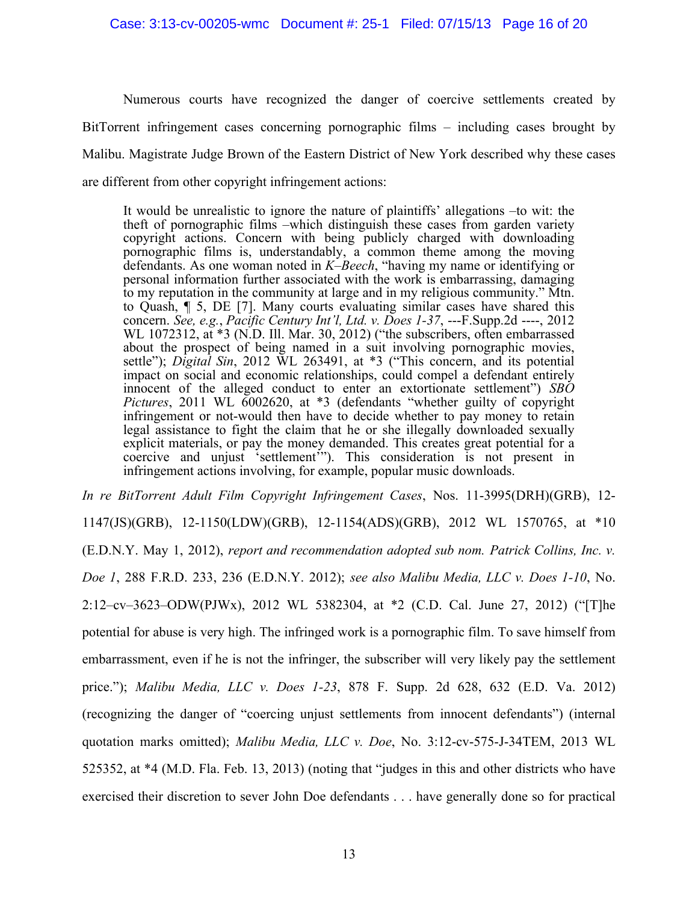### Case: 3:13-cv-00205-wmc Document #: 25-1 Filed: 07/15/13 Page 16 of 20

Numerous courts have recognized the danger of coercive settlements created by BitTorrent infringement cases concerning pornographic films – including cases brought by Malibu. Magistrate Judge Brown of the Eastern District of New York described why these cases are different from other copyright infringement actions:

It would be unrealistic to ignore the nature of plaintiffs' allegations –to wit: the theft of pornographic films –which distinguish these cases from garden variety copyright actions. Concern with being publicly charged with downloading pornographic films is, understandably, a common theme among the moving defendants. As one woman noted in *K–Beech*, "having my name or identifying or personal information further associated with the work is embarrassing, damaging to my reputation in the community at large and in my religious community." Mtn. to Quash, ¶ 5, DE [7]. Many courts evaluating similar cases have shared this concern. *See, e.g.*, *Pacific Century Int'l, Ltd. v. Does 1-37*, ---F.Supp.2d ----, 2012 WL 1072312, at \*3 (N.D. Ill. Mar. 30, 2012) ("the subscribers, often embarrassed about the prospect of being named in a suit involving pornographic movies, settle"); *Digital Sin*, 2012 WL 263491, at \*3 ("This concern, and its potential impact on social and economic relationships, could compel a defendant entirely innocent of the alleged conduct to enter an extortionate settlement") *SBO Pictures*, 2011 WL 6002620, at \*3 (defendants "whether guilty of copyright infringement or not-would then have to decide whether to pay money to retain legal assistance to fight the claim that he or she illegally downloaded sexually explicit materials, or pay the money demanded. This creates great potential for a coercive and unjust 'settlement'"). This consideration is not present in infringement actions involving, for example, popular music downloads.

*In re BitTorrent Adult Film Copyright Infringement Cases*, Nos. 11-3995(DRH)(GRB), 12- 1147(JS)(GRB), 12-1150(LDW)(GRB), 12-1154(ADS)(GRB), 2012 WL 1570765, at \*10 (E.D.N.Y. May 1, 2012), *report and recommendation adopted sub nom. Patrick Collins, Inc. v. Doe 1*, 288 F.R.D. 233, 236 (E.D.N.Y. 2012); *see also Malibu Media, LLC v. Does 1-10*, No. 2:12–cv–3623–ODW(PJWx), 2012 WL 5382304, at \*2 (C.D. Cal. June 27, 2012) ("[T]he potential for abuse is very high. The infringed work is a pornographic film. To save himself from embarrassment, even if he is not the infringer, the subscriber will very likely pay the settlement price."); *Malibu Media, LLC v. Does 1-23*, 878 F. Supp. 2d 628, 632 (E.D. Va. 2012) (recognizing the danger of "coercing unjust settlements from innocent defendants") (internal quotation marks omitted); *Malibu Media, LLC v. Doe*, No. 3:12-cv-575-J-34TEM, 2013 WL 525352, at \*4 (M.D. Fla. Feb. 13, 2013) (noting that "judges in this and other districts who have exercised their discretion to sever John Doe defendants . . . have generally done so for practical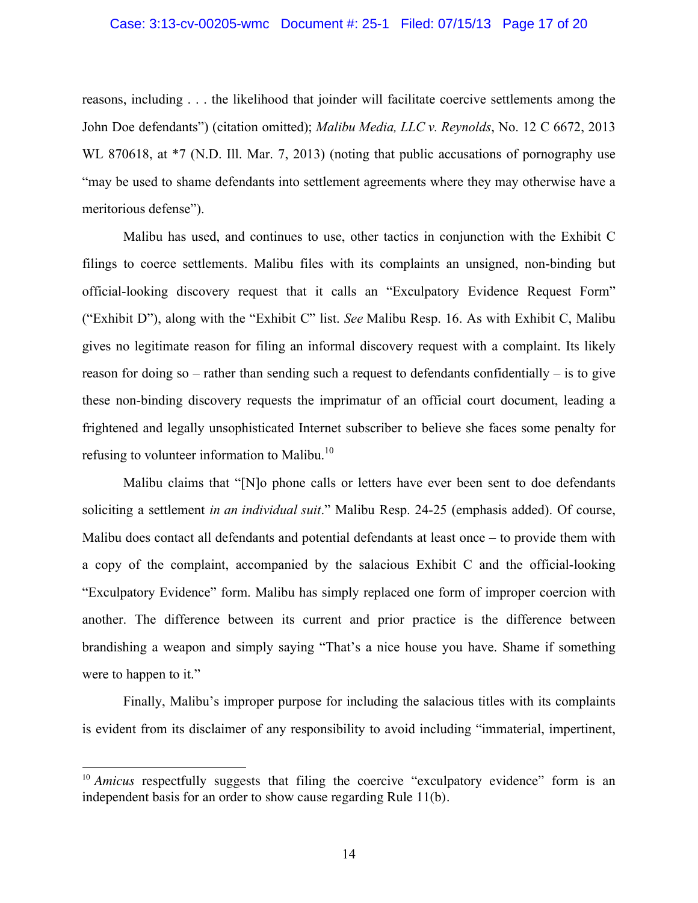#### Case: 3:13-cv-00205-wmc Document #: 25-1 Filed: 07/15/13 Page 17 of 20

reasons, including . . . the likelihood that joinder will facilitate coercive settlements among the John Doe defendants") (citation omitted); *Malibu Media, LLC v. Reynolds*, No. 12 C 6672, 2013 WL 870618, at  $*7$  (N.D. Ill. Mar. 7, 2013) (noting that public accusations of pornography use "may be used to shame defendants into settlement agreements where they may otherwise have a meritorious defense").

Malibu has used, and continues to use, other tactics in conjunction with the Exhibit C filings to coerce settlements. Malibu files with its complaints an unsigned, non-binding but official-looking discovery request that it calls an "Exculpatory Evidence Request Form" ("Exhibit D"), along with the "Exhibit C" list. *See* Malibu Resp. 16. As with Exhibit C, Malibu gives no legitimate reason for filing an informal discovery request with a complaint. Its likely reason for doing so – rather than sending such a request to defendants confidentially – is to give these non-binding discovery requests the imprimatur of an official court document, leading a frightened and legally unsophisticated Internet subscriber to believe she faces some penalty for refusing to volunteer information to Malibu.<sup>10</sup>

Malibu claims that "[N]o phone calls or letters have ever been sent to doe defendants soliciting a settlement *in an individual suit*." Malibu Resp. 24-25 (emphasis added). Of course, Malibu does contact all defendants and potential defendants at least once – to provide them with a copy of the complaint, accompanied by the salacious Exhibit C and the official-looking "Exculpatory Evidence" form. Malibu has simply replaced one form of improper coercion with another. The difference between its current and prior practice is the difference between brandishing a weapon and simply saying "That's a nice house you have. Shame if something were to happen to it."

Finally, Malibu's improper purpose for including the salacious titles with its complaints is evident from its disclaimer of any responsibility to avoid including "immaterial, impertinent,

<sup>&</sup>lt;sup>10</sup> *Amicus* respectfully suggests that filing the coercive "exculpatory evidence" form is an independent basis for an order to show cause regarding Rule 11(b).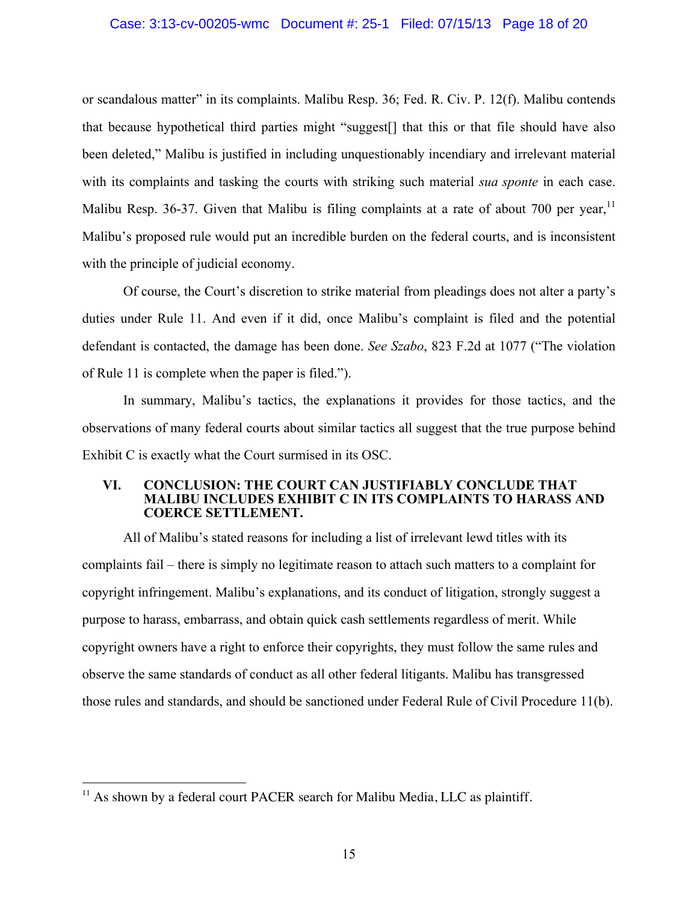### Case: 3:13-cv-00205-wmc Document #: 25-1 Filed: 07/15/13 Page 18 of 20

or scandalous matter" in its complaints. Malibu Resp. 36; Fed. R. Civ. P. 12(f). Malibu contends that because hypothetical third parties might "suggest[] that this or that file should have also been deleted," Malibu is justified in including unquestionably incendiary and irrelevant material with its complaints and tasking the courts with striking such material *sua sponte* in each case. Malibu Resp. 36-37. Given that Malibu is filing complaints at a rate of about 700 per vear,  $11$ Malibu's proposed rule would put an incredible burden on the federal courts, and is inconsistent with the principle of judicial economy.

Of course, the Court's discretion to strike material from pleadings does not alter a party's duties under Rule 11. And even if it did, once Malibu's complaint is filed and the potential defendant is contacted, the damage has been done. *See Szabo*, 823 F.2d at 1077 ("The violation of Rule 11 is complete when the paper is filed.").

In summary, Malibu's tactics, the explanations it provides for those tactics, and the observations of many federal courts about similar tactics all suggest that the true purpose behind Exhibit C is exactly what the Court surmised in its OSC.

### **VI. CONCLUSION: THE COURT CAN JUSTIFIABLY CONCLUDE THAT MALIBU INCLUDES EXHIBIT C IN ITS COMPLAINTS TO HARASS AND COERCE SETTLEMENT.**

All of Malibu's stated reasons for including a list of irrelevant lewd titles with its complaints fail – there is simply no legitimate reason to attach such matters to a complaint for copyright infringement. Malibu's explanations, and its conduct of litigation, strongly suggest a purpose to harass, embarrass, and obtain quick cash settlements regardless of merit. While copyright owners have a right to enforce their copyrights, they must follow the same rules and observe the same standards of conduct as all other federal litigants. Malibu has transgressed those rules and standards, and should be sanctioned under Federal Rule of Civil Procedure 11(b).

 $11$  As shown by a federal court PACER search for Malibu Media, LLC as plaintiff.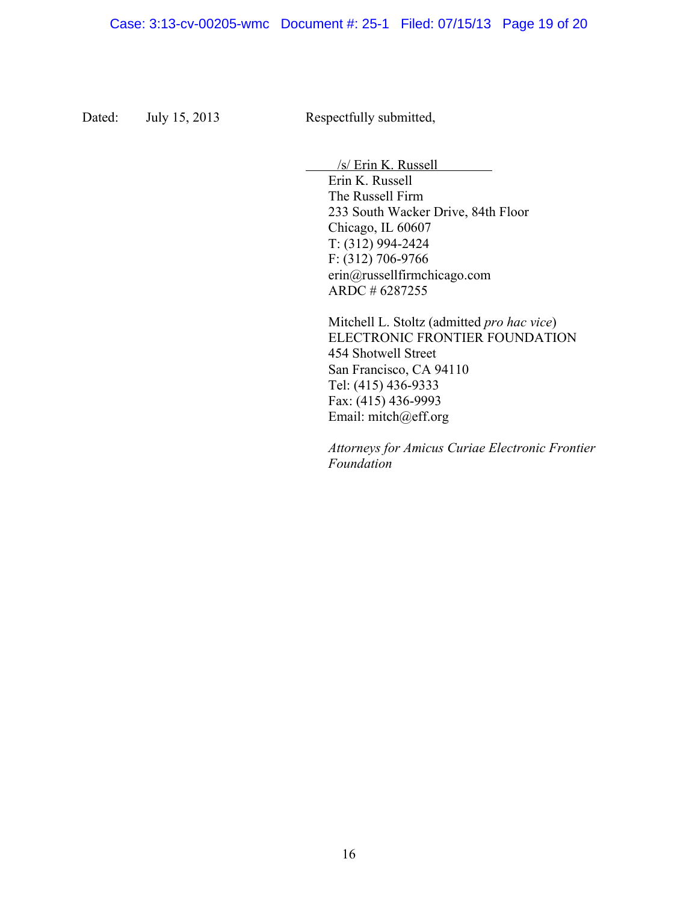Dated: July 15, 2013 Respectfully submitted,

/s/ Erin K. Russell Erin K. Russell The Russell Firm 233 South Wacker Drive, 84th Floor Chicago, IL 60607 T: (312) 994-2424 F: (312) 706-9766 erin@russellfirmchicago.com ARDC # 6287255

Mitchell L. Stoltz (admitted *pro hac vice*) ELECTRONIC FRONTIER FOUNDATION 454 Shotwell Street San Francisco, CA 94110 Tel: (415) 436-9333 Fax: (415) 436-9993 Email: mitch@eff.org

*Attorneys for Amicus Curiae Electronic Frontier Foundation*